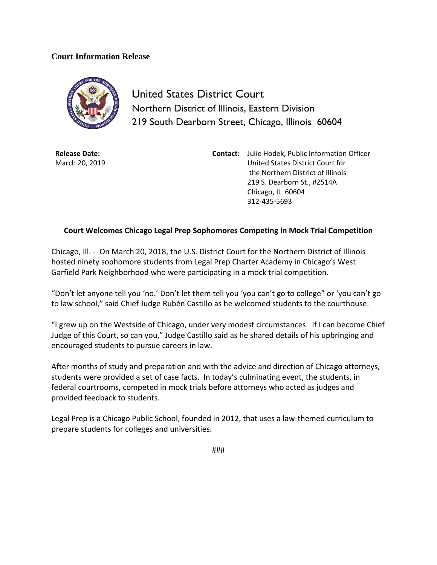## **Court Information Release**



United States District Court Northern District of Illinois, Eastern Division 219 South Dearborn Street, Chicago, Illinois 60604

**Release Date:** March 20, 2019 **Contact:** Julie Hodek, Public Information Officer United States District Court for the Northern District of Illinois 219 S. Dearborn St., #2514A Chicago, IL 60604 312-435-5693

## **Court Welcomes Chicago Legal Prep Sophomores Competing in Mock Trial Competition**

Chicago, Ill. - On March 20, 2018, the U.S. District Court for the Northern District of Illinois hosted ninety sophomore students from Legal Prep Charter Academy in Chicago's West Garfield Park Neighborhood who were participating in a mock trial competition.

"Don't let anyone tell you 'no.' Don't let them tell you 'you can't go to college" or 'you can't go to law school," said Chief Judge Rubén Castillo as he welcomed students to the courthouse.

"I grew up on the Westside of Chicago, under very modest circumstances. If I can become Chief Judge of this Court, so can you," Judge Castillo said as he shared details of his upbringing and encouraged students to pursue careers in law.

After months of study and preparation and with the advice and direction of Chicago attorneys, students were provided a set of case facts. In today's culminating event, the students, in federal courtrooms, competed in mock trials before attorneys who acted as judges and provided feedback to students.

Legal Prep is a Chicago Public School, founded in 2012, that uses a law-themed curriculum to prepare students for colleges and universities.

###